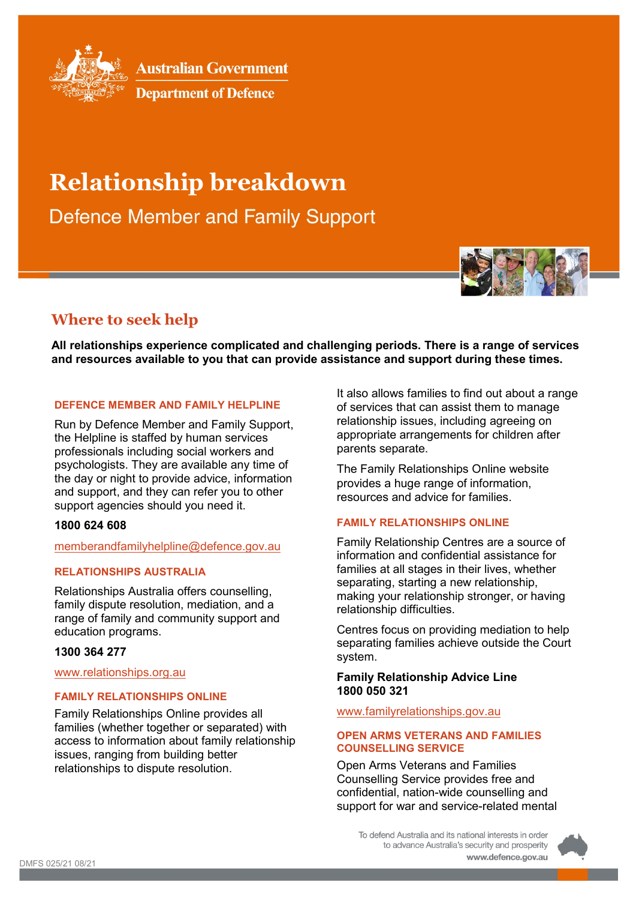

**Australian Government** 



# **Relationship breakdown**

**Defence Member and Family Support** 

# **Where to seek help**

**All relationships experience complicated and challenging periods. There is a range of services and resources available to you that can provide assistance and support during these times.**

# **DEFENCE MEMBER AND FAMILY HELPLINE**

Run by Defence Member and Family Support, the Helpline is staffed by human services professionals including social workers and psychologists. They are available any time of the day or night to provide advice, information and support, and they can refer you to other support agencies should you need it.

#### **1800 624 608**

#### [memberandfamilyhelpline@defence.gov.au](file://d85userdata.dpe.protected.mil.au/st/stephanie.robinson/Objective/Objects/memberandfamilyhelpline@defence.gov.au)

# **RELATIONSHIPS AUSTRALIA**

Relationships Australia offers counselling, family dispute resolution, mediation, and a range of family and community support and education programs.

# **1300 364 277**

## [www.relationships.org.au](http://www.relationships.org.au/)

# **FAMILY RELATIONSHIPS ONLINE**

Family Relationships Online provides all families (whether together or separated) with access to information about family relationship issues, ranging from building better relationships to dispute resolution.

It also allows families to find out about a range of services that can assist them to manage relationship issues, including agreeing on appropriate arrangements for children after parents separate.

The Family Relationships Online website provides a huge range of information, resources and advice for families.

# **FAMILY RELATIONSHIPS ONLINE**

Family Relationship Centres are a source of information and confidential assistance for families at all stages in their lives, whether separating, starting a new relationship, making your relationship stronger, or having relationship difficulties.

Centres focus on providing mediation to help separating families achieve outside the Court system.

#### **Family Relationship Advice Line 1800 050 321**

# [www.familyrelationships.gov.au](http://www.familyrelationships.gov.au/)

## **OPEN ARMS VETERANS AND FAMILIES COUNSELLING SERVICE**

Open Arms Veterans and Families Counselling Service provides free and confidential, nation-wide counselling and support for war and service-related mental